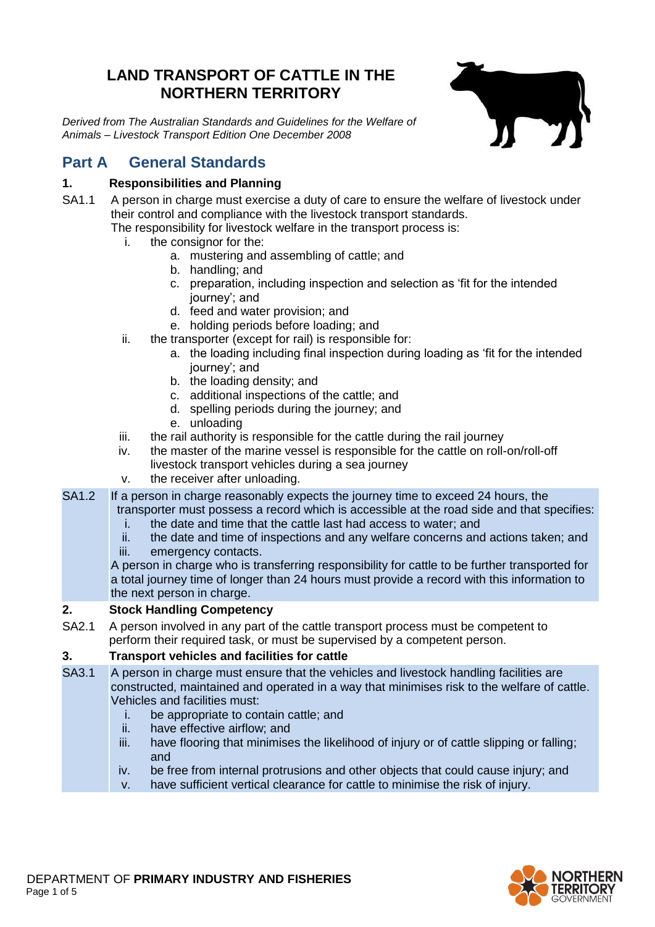# **LAND TRANSPORT OF CATTLE IN THE NORTHERN TERRITORY**

*Derived from The Australian Standards and Guidelines for the Welfare of Animals – Livestock Transport Edition One December 2008*



# **Part A General Standards**

# **1. Responsibilities and Planning**

SA1.1 A person in charge must exercise a duty of care to ensure the welfare of livestock under their control and compliance with the livestock transport standards.

The responsibility for livestock welfare in the transport process is:

- i. the consignor for the:
	- a. mustering and assembling of cattle; and
	- b. handling; and
	- c. preparation, including inspection and selection as 'fit for the intended journey'; and
	- d. feed and water provision; and
	- e. holding periods before loading; and
- ii. the transporter (except for rail) is responsible for:
	- a. the loading including final inspection during loading as 'fit for the intended journey'; and
	- b. the loading density; and
	- c. additional inspections of the cattle; and
	- d. spelling periods during the journey; and
	- e. unloading
- iii. the rail authority is responsible for the cattle during the rail journey
- iv. the master of the marine vessel is responsible for the cattle on roll-on/roll-off livestock transport vehicles during a sea journey
- v. the receiver after unloading.
- SA1.2 If a person in charge reasonably expects the journey time to exceed 24 hours, the transporter must possess a record which is accessible at the road side and that specifies:
	- i. the date and time that the cattle last had access to water; and
	- ii. the date and time of inspections and any welfare concerns and actions taken; and
	- iii. emergency contacts.

A person in charge who is transferring responsibility for cattle to be further transported for a total journey time of longer than 24 hours must provide a record with this information to the next person in charge.

### **2. Stock Handling Competency**

SA2.1 A person involved in any part of the cattle transport process must be competent to perform their required task, or must be supervised by a competent person.

# **3. Transport vehicles and facilities for cattle**

- SA3.1 A person in charge must ensure that the vehicles and livestock handling facilities are constructed, maintained and operated in a way that minimises risk to the welfare of cattle. Vehicles and facilities must:
	- i. be appropriate to contain cattle; and
	- ii. have effective airflow; and
	- iii. have flooring that minimises the likelihood of injury or of cattle slipping or falling; and
	- iv. be free from internal protrusions and other objects that could cause injury; and
	- v. have sufficient vertical clearance for cattle to minimise the risk of injury.

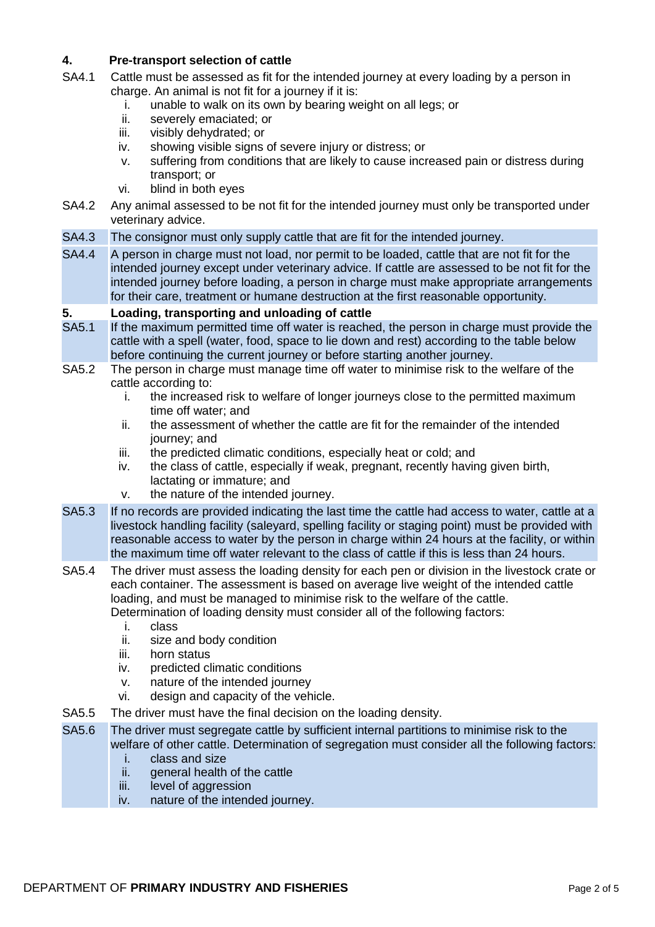## **4. Pre-transport selection of cattle**

- SA4.1 Cattle must be assessed as fit for the intended journey at every loading by a person in charge. An animal is not fit for a journey if it is:
	- i. unable to walk on its own by bearing weight on all legs; or
	- ii. severely emaciated; or
	- iii. visibly dehydrated; or
	- iv. showing visible signs of severe injury or distress; or
	- v. suffering from conditions that are likely to cause increased pain or distress during transport; or
	- vi. blind in both eyes
- SA4.2 Any animal assessed to be not fit for the intended journey must only be transported under veterinary advice.
- SA4.3 The consignor must only supply cattle that are fit for the intended journey.
- SA4.4 A person in charge must not load, nor permit to be loaded, cattle that are not fit for the intended journey except under veterinary advice. If cattle are assessed to be not fit for the intended journey before loading, a person in charge must make appropriate arrangements for their care, treatment or humane destruction at the first reasonable opportunity.

#### **5. Loading, transporting and unloading of cattle**

- SA5.1 If the maximum permitted time off water is reached, the person in charge must provide the cattle with a spell (water, food, space to lie down and rest) according to the table below before continuing the current journey or before starting another journey.
- SA5.2 The person in charge must manage time off water to minimise risk to the welfare of the cattle according to:
	- i. the increased risk to welfare of longer journeys close to the permitted maximum time off water; and
	- ii. the assessment of whether the cattle are fit for the remainder of the intended journey; and
	- iii. the predicted climatic conditions, especially heat or cold; and
	- iv. the class of cattle, especially if weak, pregnant, recently having given birth, lactating or immature; and
	- v. the nature of the intended journey.
- SA5.3 If no records are provided indicating the last time the cattle had access to water, cattle at a livestock handling facility (saleyard, spelling facility or staging point) must be provided with reasonable access to water by the person in charge within 24 hours at the facility, or within the maximum time off water relevant to the class of cattle if this is less than 24 hours.
- SA5.4 The driver must assess the loading density for each pen or division in the livestock crate or each container. The assessment is based on average live weight of the intended cattle loading, and must be managed to minimise risk to the welfare of the cattle. Determination of loading density must consider all of the following factors:
	- i. class
	- ii. size and body condition
	- iii. horn status
	- iv. predicted climatic conditions
	- v. nature of the intended journey
	- vi. design and capacity of the vehicle.
- SA5.5 The driver must have the final decision on the loading density.
- SA5.6 The driver must segregate cattle by sufficient internal partitions to minimise risk to the welfare of other cattle. Determination of segregation must consider all the following factors:
	- i. class and size
	- ii. general health of the cattle
	- iii. level of aggression
	- iv. nature of the intended journey.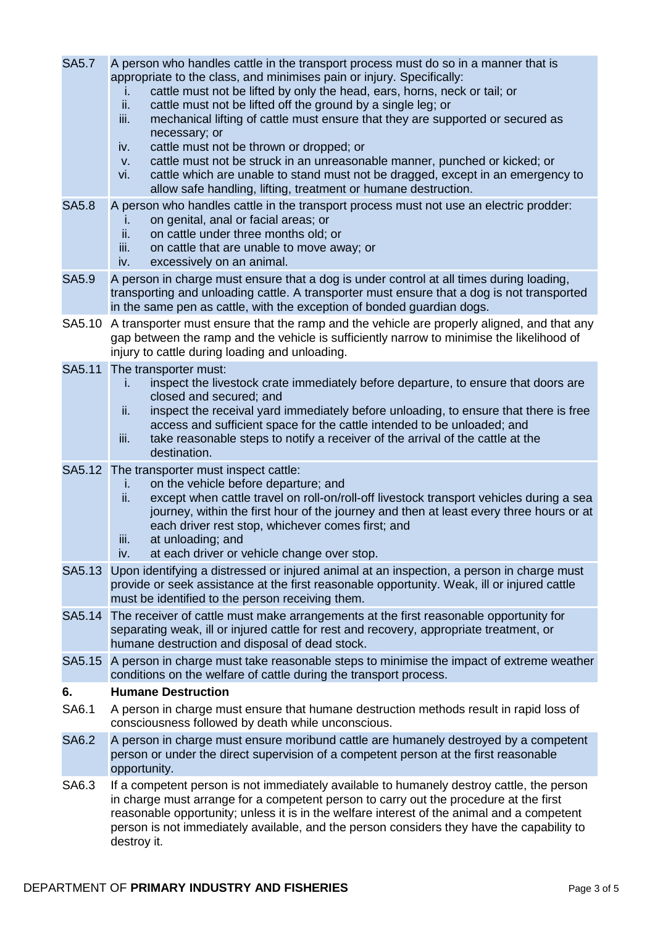appropriate to the class, and minimises pain or injury. Specifically: i. cattle must not be lifted by only the head, ears, horns, neck or tail; or ii. cattle must not be lifted off the ground by a single leg; or iii. mechanical lifting of cattle must ensure that they are supported or secured as necessary; or iv. cattle must not be thrown or dropped; or v. cattle must not be struck in an unreasonable manner, punched or kicked; or vi. cattle which are unable to stand must not be dragged, except in an emergency to allow safe handling, lifting, treatment or humane destruction. SA5.8 A person who handles cattle in the transport process must not use an electric prodder: i. on genital, anal or facial areas; or ii. on cattle under three months old: on cattle under three months old; or iii. on cattle that are unable to move away; or iv. excessively on an animal. SA5.9 A person in charge must ensure that a dog is under control at all times during loading, transporting and unloading cattle. A transporter must ensure that a dog is not transported in the same pen as cattle, with the exception of bonded guardian dogs. SA5.10 A transporter must ensure that the ramp and the vehicle are properly aligned, and that any gap between the ramp and the vehicle is sufficiently narrow to minimise the likelihood of injury to cattle during loading and unloading. SA5.11 The transporter must: i. inspect the livestock crate immediately before departure, to ensure that doors are closed and secured; and ii. inspect the receival yard immediately before unloading, to ensure that there is free access and sufficient space for the cattle intended to be unloaded; and iii. take reasonable steps to notify a receiver of the arrival of the cattle at the destination. SA5.12 The transporter must inspect cattle: i. on the vehicle before departure; and ii. except when cattle travel on roll-on/roll-off livestock transport vehicles during a sea journey, within the first hour of the journey and then at least every three hours or at each driver rest stop, whichever comes first; and iii. at unloading; and iv. at each driver or vehicle change over stop. SA5.13 Upon identifying a distressed or injured animal at an inspection, a person in charge must provide or seek assistance at the first reasonable opportunity. Weak, ill or injured cattle must be identified to the person receiving them. SA5.14 The receiver of cattle must make arrangements at the first reasonable opportunity for separating weak, ill or injured cattle for rest and recovery, appropriate treatment, or humane destruction and disposal of dead stock. SA5.15 A person in charge must take reasonable steps to minimise the impact of extreme weather conditions on the welfare of cattle during the transport process. **6. Humane Destruction** SA6.1 A person in charge must ensure that humane destruction methods result in rapid loss of consciousness followed by death while unconscious. SA6.2 A person in charge must ensure moribund cattle are humanely destroyed by a competent person or under the direct supervision of a competent person at the first reasonable opportunity. SA6.3 If a competent person is not immediately available to humanely destroy cattle, the person in charge must arrange for a competent person to carry out the procedure at the first reasonable opportunity; unless it is in the welfare interest of the animal and a competent person is not immediately available, and the person considers they have the capability to destroy it.

SA5.7 A person who handles cattle in the transport process must do so in a manner that is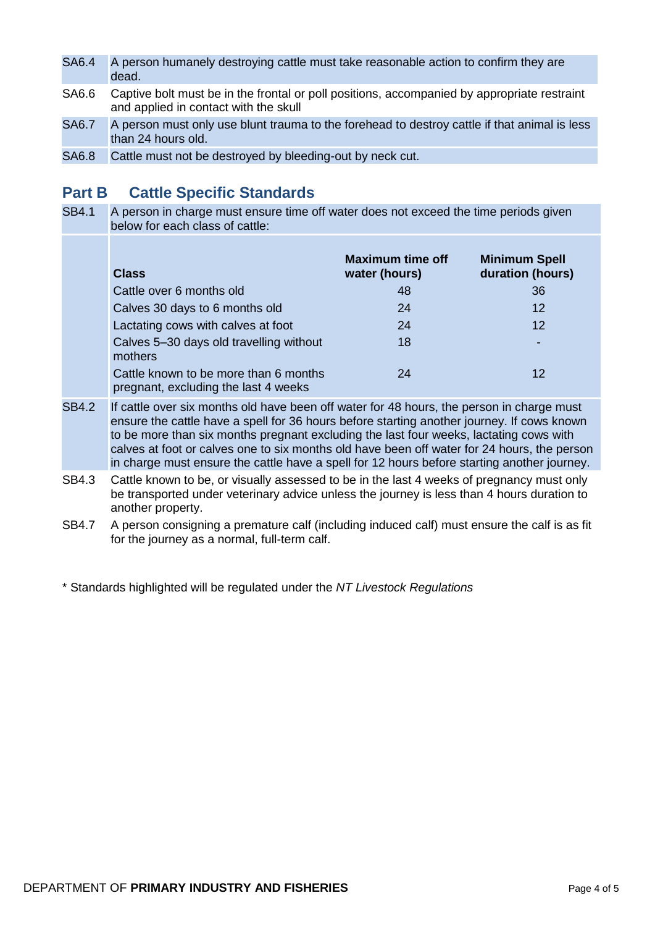| <b>SA6.4</b> | A person humanely destroying cattle must take reasonable action to confirm they are<br>dead.                                         |
|--------------|--------------------------------------------------------------------------------------------------------------------------------------|
| SA6.6        | Captive bolt must be in the frontal or poll positions, accompanied by appropriate restraint<br>and applied in contact with the skull |
| $CAB$ 7      | A parcon must only use blunt trauma to the forebood to dectroy cattle if that animal is loca                                         |

SA6.7 A person must only use blunt trauma to the forehead to destroy cattle if that animal is less than 24 hours old.

SA6.8 Cattle must not be destroyed by bleeding-out by neck cut.

# **Part B Cattle Specific Standards**

SB4.1 A person in charge must ensure time off water does not exceed the time periods given below for each class of cattle:

| <b>Class</b>                                                                  | <b>Maximum time off</b><br>water (hours) | <b>Minimum Spell</b><br>duration (hours) |
|-------------------------------------------------------------------------------|------------------------------------------|------------------------------------------|
| Cattle over 6 months old                                                      | 48                                       | 36                                       |
| Calves 30 days to 6 months old                                                | 24                                       | 12                                       |
| Lactating cows with calves at foot                                            | 24                                       | $12 \overline{ }$                        |
| Calves 5-30 days old travelling without<br>mothers                            | 18                                       |                                          |
| Cattle known to be more than 6 months<br>pregnant, excluding the last 4 weeks | 24                                       | 12                                       |

- SB4.2 If cattle over six months old have been off water for 48 hours, the person in charge must ensure the cattle have a spell for 36 hours before starting another journey. If cows known to be more than six months pregnant excluding the last four weeks, lactating cows with calves at foot or calves one to six months old have been off water for 24 hours, the person in charge must ensure the cattle have a spell for 12 hours before starting another journey.
- SB4.3 Cattle known to be, or visually assessed to be in the last 4 weeks of pregnancy must only be transported under veterinary advice unless the journey is less than 4 hours duration to another property.
- SB4.7 A person consigning a premature calf (including induced calf) must ensure the calf is as fit for the journey as a normal, full-term calf.

\* Standards highlighted will be regulated under the *NT Livestock Regulations*